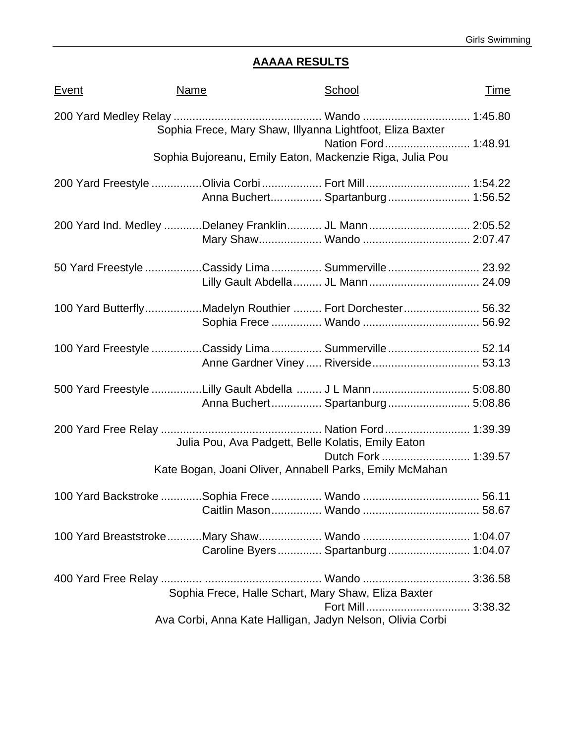# **AAAAA RESULTS**

| <u>Event</u> | <b>Name</b>                                                | School                               | <u>Time</u> |
|--------------|------------------------------------------------------------|--------------------------------------|-------------|
|              | Sophia Frece, Mary Shaw, Illyanna Lightfoot, Eliza Baxter  |                                      |             |
|              | Sophia Bujoreanu, Emily Eaton, Mackenzie Riga, Julia Pou   | Nation Ford 1:48.91                  |             |
|              | 200 Yard Freestyle Olivia Corbi  Fort Mill  1:54.22        |                                      |             |
|              |                                                            | Anna Buchert Spartanburg 1:56.52     |             |
|              | 200 Yard Ind. Medley Delaney Franklin JL Mann 2:05.52      |                                      |             |
|              |                                                            |                                      |             |
|              | 50 Yard Freestyle Cassidy Lima  Summerville  23.92         |                                      |             |
|              |                                                            |                                      |             |
|              | 100 Yard ButterflyMadelyn Routhier  Fort Dorchester 56.32  |                                      |             |
|              |                                                            |                                      |             |
|              | 100 Yard Freestyle Cassidy Lima  Summerville  52.14        |                                      |             |
|              |                                                            |                                      |             |
|              | 5.00 Yard Freestyle Lilly Gault Abdella  J L Mann  5:08.80 | Anna Buchert Spartanburg 5:08.86     |             |
|              |                                                            |                                      |             |
|              | Julia Pou, Ava Padgett, Belle Kolatis, Emily Eaton         |                                      |             |
|              | Kate Bogan, Joani Oliver, Annabell Parks, Emily McMahan    |                                      |             |
|              |                                                            |                                      |             |
|              |                                                            |                                      |             |
|              |                                                            |                                      |             |
|              |                                                            | Caroline Byers  Spartanburg  1:04.07 |             |
|              |                                                            |                                      |             |
|              | Sophia Frece, Halle Schart, Mary Shaw, Eliza Baxter        |                                      |             |
|              |                                                            |                                      |             |
|              | Ava Corbi, Anna Kate Halligan, Jadyn Nelson, Olivia Corbi  |                                      |             |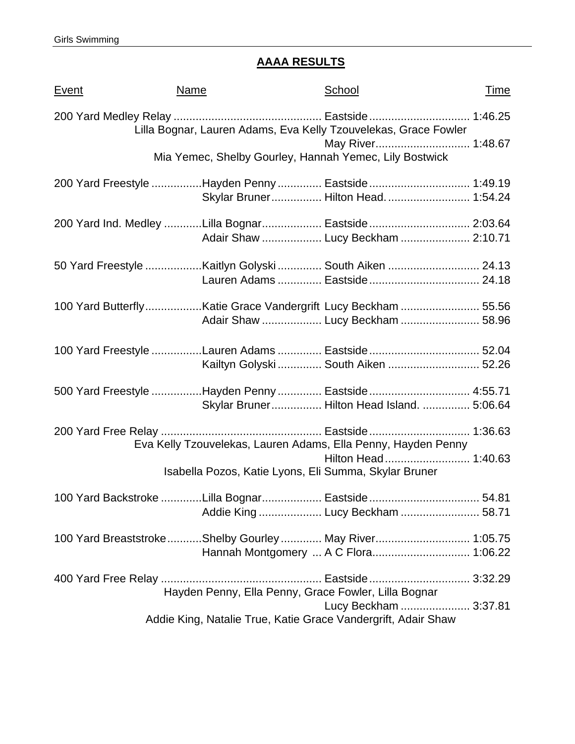## **AAAA RESULTS**

| <u>Event</u> | <b>Name</b> | School                                                                                           | <u>Time</u> |
|--------------|-------------|--------------------------------------------------------------------------------------------------|-------------|
|              |             | Lilla Bognar, Lauren Adams, Eva Kelly Tzouvelekas, Grace Fowler                                  |             |
|              |             | May River 1:48.67<br>Mia Yemec, Shelby Gourley, Hannah Yemec, Lily Bostwick                      |             |
|              |             | 200 Yard Freestyle Hayden Penny  Eastside  1:49.19<br>Skylar Bruner Hilton Head 1:54.24          |             |
|              |             | 200 Yard Ind. Medley Lilla Bognar Eastside 2:03.64<br>Adair Shaw  Lucy Beckham  2:10.71          |             |
|              |             |                                                                                                  |             |
|              |             | 100 Yard ButterflyKatie Grace Vandergrift Lucy Beckham  55.56<br>Adair Shaw  Lucy Beckham  58.96 |             |
|              |             | 100 Yard Freestyle Lauren Adams  Eastside  52.04<br>Kailtyn Golyski  South Aiken  52.26          |             |
|              |             | 500 Yard Freestyle Hayden Penny  Eastside  4:55.71<br>Skylar Bruner Hilton Head Island.  5:06.64 |             |
|              |             | Eva Kelly Tzouvelekas, Lauren Adams, Ella Penny, Hayden Penny                                    |             |
|              |             | Isabella Pozos, Katie Lyons, Eli Summa, Skylar Bruner                                            |             |
|              |             | 100 Yard Backstroke Lilla Bognar Eastside  54.81                                                 |             |
|              |             | 100 Yard Breaststroke Shelby Gourley  May River 1:05.75<br>Hannah Montgomery  A C Flora 1:06.22  |             |
|              |             | Hayden Penny, Ella Penny, Grace Fowler, Lilla Bognar                                             |             |
|              |             | Lucy Beckham  3:37.81<br>Addie King, Natalie True, Katie Grace Vandergrift, Adair Shaw           |             |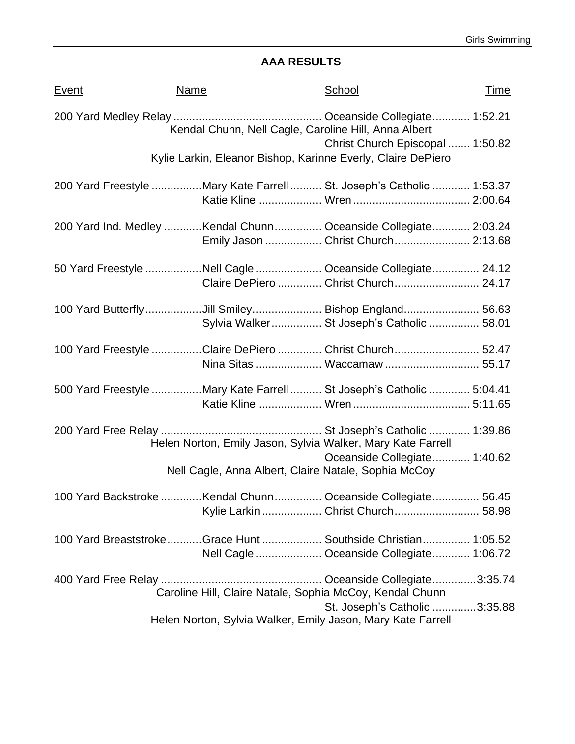## **AAA RESULTS**

| <b>Event</b> | Name                                                                 | School                                                                               | Time |
|--------------|----------------------------------------------------------------------|--------------------------------------------------------------------------------------|------|
|              |                                                                      | Kendal Chunn, Nell Cagle, Caroline Hill, Anna Albert                                 |      |
|              | Kylie Larkin, Eleanor Bishop, Karinne Everly, Claire DePiero         | Christ Church Episcopal  1:50.82                                                     |      |
|              | 200 Yard Freestyle Mary Kate Farrell  St. Joseph's Catholic  1:53.37 |                                                                                      |      |
|              | 200 Yard Ind. Medley Kendal Chunn Oceanside Collegiate 2:03.24       | Emily Jason  Christ Church  2:13.68                                                  |      |
|              | 50 Yard Freestyle Nell Cagle  Oceanside Collegiate 24.12             | Claire DePiero  Christ Church 24.17                                                  |      |
|              | 100 Yard ButterflyJill Smiley Bishop England 56.63                   | Sylvia Walker St Joseph's Catholic  58.01                                            |      |
|              | 100 Yard Freestyle Claire DePiero  Christ Church  52.47              |                                                                                      |      |
|              | 500 Yard Freestyle Mary Kate Farrell  St Joseph's Catholic  5:04.41  |                                                                                      |      |
|              | Helen Norton, Emily Jason, Sylvia Walker, Mary Kate Farrell          |                                                                                      |      |
|              |                                                                      | Oceanside Collegiate 1:40.62<br>Nell Cagle, Anna Albert, Claire Natale, Sophia McCoy |      |
|              | 100 Yard Backstroke Kendal Chunn Oceanside Collegiate 56.45          | Kylie Larkin  Christ Church  58.98                                                   |      |
|              | 100 Yard BreaststrokeGrace Hunt Southside Christian 1:05.52          | Nell Cagle  Oceanside Collegiate  1:06.72                                            |      |
|              |                                                                      | Caroline Hill, Claire Natale, Sophia McCoy, Kendal Chunn                             |      |
|              | Helen Norton, Sylvia Walker, Emily Jason, Mary Kate Farrell          | St. Joseph's Catholic 3:35.88                                                        |      |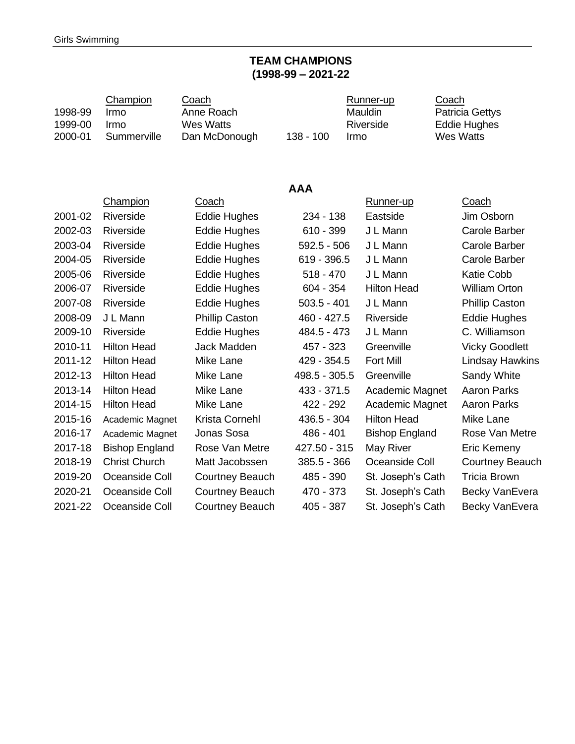### **TEAM CHAMPIONS (1998-99 – 2021-22**

| 1998-99<br>1999-00<br>2000-01 | <b>Champion</b><br>Irmo<br>Irmo<br>Summerville | Coach<br>Anne Roach<br><b>Wes Watts</b><br>Dan McDonough | $138 - 100$   | Runner-up<br>Mauldin<br>Riverside<br>Irmo |                       | Coach<br><b>Patricia Gettys</b><br><b>Eddie Hughes</b><br><b>Wes Watts</b> |
|-------------------------------|------------------------------------------------|----------------------------------------------------------|---------------|-------------------------------------------|-----------------------|----------------------------------------------------------------------------|
|                               |                                                |                                                          | <b>AAA</b>    |                                           |                       |                                                                            |
|                               | Champion                                       | Coach                                                    |               |                                           | Runner-up             | Coach                                                                      |
| 2001-02                       | Riverside                                      | <b>Eddie Hughes</b>                                      | 234 - 138     |                                           | Eastside              | Jim Osborn                                                                 |
| 2002-03                       | Riverside                                      | <b>Eddie Hughes</b>                                      | $610 - 399$   |                                           | J L Mann              | <b>Carole Barber</b>                                                       |
| 2003-04                       | Riverside                                      | <b>Eddie Hughes</b>                                      | $592.5 - 506$ |                                           | J L Mann              | <b>Carole Barber</b>                                                       |
| 2004-05                       | Riverside                                      | <b>Eddie Hughes</b>                                      | 619 - 396.5   |                                           | J L Mann              | <b>Carole Barber</b>                                                       |
| 2005-06                       | Riverside                                      | <b>Eddie Hughes</b>                                      | $518 - 470$   |                                           | J L Mann              | <b>Katie Cobb</b>                                                          |
| 2006-07                       | Riverside                                      | <b>Eddie Hughes</b>                                      | $604 - 354$   |                                           | <b>Hilton Head</b>    | <b>William Orton</b>                                                       |
| 2007-08                       | Riverside                                      | <b>Eddie Hughes</b>                                      | $503.5 - 401$ |                                           | J L Mann              | <b>Phillip Caston</b>                                                      |
| 2008-09                       | J L Mann                                       | <b>Phillip Caston</b>                                    | 460 - 427.5   |                                           | Riverside             | <b>Eddie Hughes</b>                                                        |
| 2009-10                       | Riverside                                      | <b>Eddie Hughes</b>                                      | 484.5 - 473   |                                           | J L Mann              | C. Williamson                                                              |
| 2010-11                       | <b>Hilton Head</b>                             | Jack Madden                                              | 457 - 323     |                                           | Greenville            | <b>Vicky Goodlett</b>                                                      |
| 2011-12                       | <b>Hilton Head</b>                             | Mike Lane                                                | 429 - 354.5   |                                           | <b>Fort Mill</b>      | <b>Lindsay Hawkins</b>                                                     |
| 2012-13                       | <b>Hilton Head</b>                             | Mike Lane                                                | 498.5 - 305.5 |                                           | Greenville            | Sandy White                                                                |
| 2013-14                       | <b>Hilton Head</b>                             | Mike Lane                                                | 433 - 371.5   |                                           | Academic Magnet       | <b>Aaron Parks</b>                                                         |
| 2014-15                       | <b>Hilton Head</b>                             | Mike Lane                                                | 422 - 292     |                                           | Academic Magnet       | <b>Aaron Parks</b>                                                         |
| 2015-16                       | Academic Magnet                                | Krista Cornehl                                           | 436.5 - 304   |                                           | <b>Hilton Head</b>    | Mike Lane                                                                  |
| 2016-17                       | Academic Magnet                                | Jonas Sosa                                               | 486 - 401     |                                           | <b>Bishop England</b> | Rose Van Metre                                                             |
| 2017-18                       | <b>Bishop England</b>                          | Rose Van Metre                                           | 427.50 - 315  |                                           | May River             | Eric Kemeny                                                                |
| 2018-19                       | <b>Christ Church</b>                           | Matt Jacobssen                                           | 385.5 - 366   |                                           | Oceanside Coll        | <b>Courtney Beauch</b>                                                     |
| 2019-20                       | Oceanside Coll                                 | Courtney Beauch                                          | 485 - 390     |                                           | St. Joseph's Cath     | <b>Tricia Brown</b>                                                        |
| 2020-21                       | Oceanside Coll                                 | <b>Courtney Beauch</b>                                   | 470 - 373     |                                           | St. Joseph's Cath     | Becky VanEvera                                                             |
| 2021-22                       | Oceanside Coll                                 | <b>Courtney Beauch</b>                                   | 405 - 387     |                                           | St. Joseph's Cath     | <b>Becky VanEvera</b>                                                      |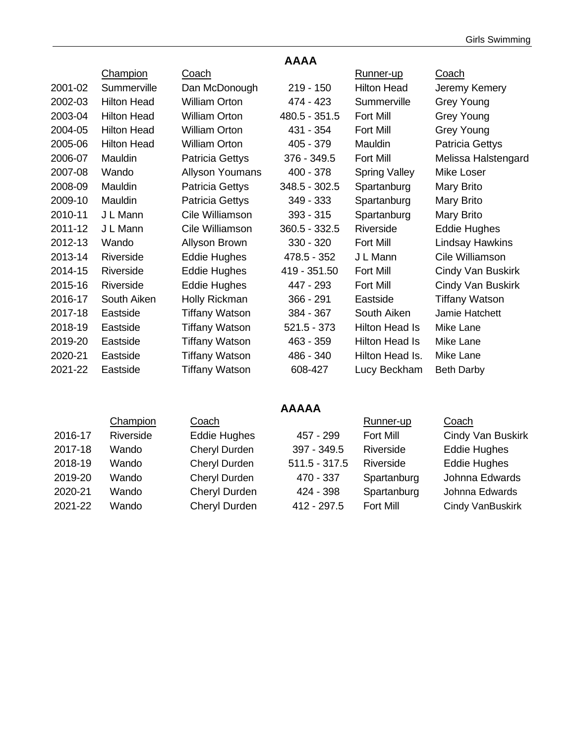|         |                    |                        | <b>AAAA</b>     |                       |                          |
|---------|--------------------|------------------------|-----------------|-----------------------|--------------------------|
|         | Champion           | <u>Coach</u>           |                 | Runner-up             | <u>Coach</u>             |
| 2001-02 | Summerville        | Dan McDonough          | $219 - 150$     | <b>Hilton Head</b>    | Jeremy Kemery            |
| 2002-03 | <b>Hilton Head</b> | <b>William Orton</b>   | 474 - 423       | Summerville           | <b>Grey Young</b>        |
| 2003-04 | <b>Hilton Head</b> | <b>William Orton</b>   | 480.5 - 351.5   | <b>Fort Mill</b>      | Grey Young               |
| 2004-05 | <b>Hilton Head</b> | <b>William Orton</b>   | 431 - 354       | Fort Mill             | Grey Young               |
| 2005-06 | <b>Hilton Head</b> | <b>William Orton</b>   | 405 - 379       | Mauldin               | Patricia Gettys          |
| 2006-07 | Mauldin            | Patricia Gettys        | 376 - 349.5     | <b>Fort Mill</b>      | Melissa Halstengard      |
| 2007-08 | Wando              | <b>Allyson Youmans</b> | $400 - 378$     | <b>Spring Valley</b>  | Mike Loser               |
| 2008-09 | Mauldin            | Patricia Gettys        | 348.5 - 302.5   | Spartanburg           | Mary Brito               |
| 2009-10 | Mauldin            | Patricia Gettys        | 349 - 333       | Spartanburg           | Mary Brito               |
| 2010-11 | J L Mann           | Cile Williamson        | $393 - 315$     | Spartanburg           | Mary Brito               |
| 2011-12 | J L Mann           | Cile Williamson        | $360.5 - 332.5$ | Riverside             | <b>Eddie Hughes</b>      |
| 2012-13 | Wando              | Allyson Brown          | 330 - 320       | <b>Fort Mill</b>      | Lindsay Hawkins          |
| 2013-14 | Riverside          | Eddie Hughes           | 478.5 - 352     | J L Mann              | Cile Williamson          |
| 2014-15 | Riverside          | <b>Eddie Hughes</b>    | 419 - 351.50    | <b>Fort Mill</b>      | Cindy Van Buskirk        |
| 2015-16 | Riverside          | <b>Eddie Hughes</b>    | 447 - 293       | Fort Mill             | <b>Cindy Van Buskirk</b> |
| 2016-17 | South Aiken        | Holly Rickman          | $366 - 291$     | Eastside              | Tiffany Watson           |
| 2017-18 | Eastside           | <b>Tiffany Watson</b>  | 384 - 367       | South Aiken           | Jamie Hatchett           |
| 2018-19 | Eastside           | Tiffany Watson         | $521.5 - 373$   | <b>Hilton Head Is</b> | Mike Lane                |
| 2019-20 | Eastside           | Tiffany Watson         | 463 - 359       | <b>Hilton Head Is</b> | Mike Lane                |
| 2020-21 | Eastside           | Tiffany Watson         | 486 - 340       | Hilton Head Is.       | Mike Lane                |
| 2021-22 | Eastside           | <b>Tiffany Watson</b>  | 608-427         | Lucy Beckham          | <b>Beth Darby</b>        |

#### **AAAAA**

| Cindy Van Buskirk   |
|---------------------|
| <b>Eddie Hughes</b> |
| <b>Eddie Hughes</b> |
| Johnna Edwards      |
| Johnna Edwards      |
| Cindy VanBuskirk    |
|                     |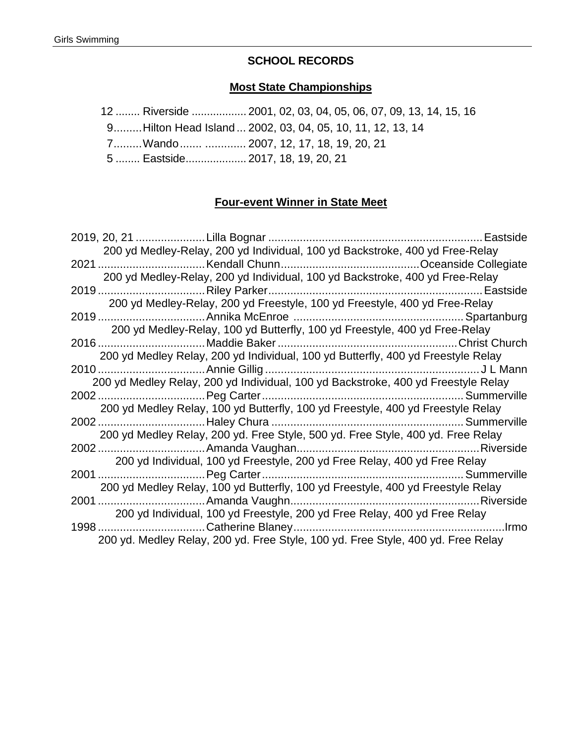### **SCHOOL RECORDS**

#### **Most State Championships**

12 ........ Riverside .................. 2001, 02, 03, 04, 05, 06, 07, 09, 13, 14, 15, 16

9.........Hilton Head Island ... 2002, 03, 04, 05, 10, 11, 12, 13, 14

7.........Wando....... ............. 2007, 12, 17, 18, 19, 20, 21

5 ........ Eastside.................... 2017, 18, 19, 20, 21

#### **Four-event Winner in State Meet**

| 200 yd Medley-Relay, 200 yd Individual, 100 yd Backstroke, 400 yd Free-Relay      |  |
|-----------------------------------------------------------------------------------|--|
|                                                                                   |  |
| 200 yd Medley-Relay, 200 yd Individual, 100 yd Backstroke, 400 yd Free-Relay      |  |
|                                                                                   |  |
| 200 yd Medley-Relay, 200 yd Freestyle, 100 yd Freestyle, 400 yd Free-Relay        |  |
|                                                                                   |  |
| 200 yd Medley-Relay, 100 yd Butterfly, 100 yd Freestyle, 400 yd Free-Relay        |  |
|                                                                                   |  |
| 200 yd Medley Relay, 200 yd Individual, 100 yd Butterfly, 400 yd Freestyle Relay  |  |
|                                                                                   |  |
| 200 yd Medley Relay, 200 yd Individual, 100 yd Backstroke, 400 yd Freestyle Relay |  |
|                                                                                   |  |
| 200 yd Medley Relay, 100 yd Butterfly, 100 yd Freestyle, 400 yd Freestyle Relay   |  |
| 200 yd Medley Relay, 200 yd. Free Style, 500 yd. Free Style, 400 yd. Free Relay   |  |
|                                                                                   |  |
| 200 yd Individual, 100 yd Freestyle, 200 yd Free Relay, 400 yd Free Relay         |  |
|                                                                                   |  |
| 200 yd Medley Relay, 100 yd Butterfly, 100 yd Freestyle, 400 yd Freestyle Relay   |  |
|                                                                                   |  |
| 200 yd Individual, 100 yd Freestyle, 200 yd Free Relay, 400 yd Free Relay         |  |
|                                                                                   |  |
| 200 yd. Medley Relay, 200 yd. Free Style, 100 yd. Free Style, 400 yd. Free Relay  |  |